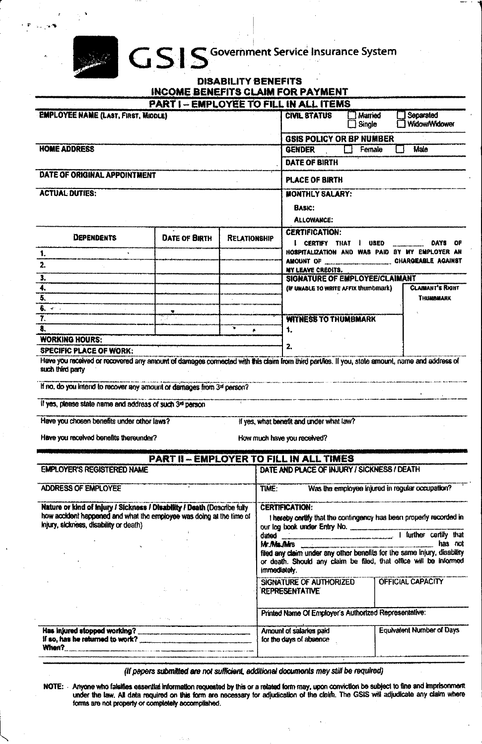## GSIS Government Service Insurance System

|                                      |  | <b>DISABILITY BENEFITS</b> |  |  |
|--------------------------------------|--|----------------------------|--|--|
| INCOME BENEFITS CLAIM FOR PAYMENT    |  |                            |  |  |
| DADT: CMDI OVEC TO CII I IN ALL ITCM |  |                            |  |  |

|                                                                                                                                                                                                                            | <b>PART I - EMPLOYEE TO FILL IN ALL ITEMS</b> |                     |                                                                                                                                                                                                                                                                                                                                           |                                                                                        |                          |        |                                                |  |
|----------------------------------------------------------------------------------------------------------------------------------------------------------------------------------------------------------------------------|-----------------------------------------------|---------------------|-------------------------------------------------------------------------------------------------------------------------------------------------------------------------------------------------------------------------------------------------------------------------------------------------------------------------------------------|----------------------------------------------------------------------------------------|--------------------------|--------|------------------------------------------------|--|
| <b>EMPLOYEE NAME (LAST, FIRST, MIDDLE)</b>                                                                                                                                                                                 |                                               |                     |                                                                                                                                                                                                                                                                                                                                           | <b>CIVIL STATUS</b>                                                                    | <b>Married</b><br>Single |        | Separated<br><b>Widow/Widower</b>              |  |
|                                                                                                                                                                                                                            |                                               |                     |                                                                                                                                                                                                                                                                                                                                           | GSIS POLICY OR BP NUMBER                                                               |                          |        |                                                |  |
| <b>HOME ADDRESS</b>                                                                                                                                                                                                        |                                               |                     |                                                                                                                                                                                                                                                                                                                                           | <b>GENDER</b>                                                                          |                          | Female | Male                                           |  |
|                                                                                                                                                                                                                            |                                               |                     |                                                                                                                                                                                                                                                                                                                                           | DATE OF BIRTH                                                                          |                          |        |                                                |  |
| DATE OF ORIGINAL APPOINTMENT                                                                                                                                                                                               |                                               | PLACE OF BIRTH      |                                                                                                                                                                                                                                                                                                                                           |                                                                                        |                          |        |                                                |  |
| <b>ACTUAL DUTIES:</b>                                                                                                                                                                                                      |                                               |                     |                                                                                                                                                                                                                                                                                                                                           | <b>MONTHLY SALARY:</b>                                                                 |                          |        |                                                |  |
|                                                                                                                                                                                                                            |                                               |                     |                                                                                                                                                                                                                                                                                                                                           | BASIC:                                                                                 |                          |        |                                                |  |
|                                                                                                                                                                                                                            |                                               |                     |                                                                                                                                                                                                                                                                                                                                           | ALLOWANCE:                                                                             |                          |        |                                                |  |
| <b>DEPENDENTS</b>                                                                                                                                                                                                          | <b>DATE OF BIRTH</b>                          | <b>RELATIONSHIP</b> |                                                                                                                                                                                                                                                                                                                                           | <b>CERTIFICATION:</b><br>I CERTIFY THAT<br><b>USED</b><br>DAYS<br>OF                   |                          |        |                                                |  |
| 1.                                                                                                                                                                                                                         |                                               |                     |                                                                                                                                                                                                                                                                                                                                           |                                                                                        |                          |        | HOSPITALIZATION AND WAS PAID BY MY EMPLOYER AN |  |
| 2.                                                                                                                                                                                                                         |                                               |                     |                                                                                                                                                                                                                                                                                                                                           | MY LEAVE CREDITS.                                                                      |                          |        |                                                |  |
| 3.                                                                                                                                                                                                                         |                                               |                     |                                                                                                                                                                                                                                                                                                                                           | SIGNATURE OF EMPLOYEE/CLAIMANT                                                         |                          |        |                                                |  |
| 4.                                                                                                                                                                                                                         |                                               |                     |                                                                                                                                                                                                                                                                                                                                           | (IF UNABLE TO WRITE AFFIX thumbmark)                                                   |                          |        | <b>CLAIMANT'S RIGHT</b>                        |  |
| $\overline{5}$                                                                                                                                                                                                             |                                               |                     |                                                                                                                                                                                                                                                                                                                                           |                                                                                        |                          |        | THUMBHARK                                      |  |
| $\overline{6}$ , $\overline{c}$ .                                                                                                                                                                                          |                                               |                     |                                                                                                                                                                                                                                                                                                                                           |                                                                                        |                          |        |                                                |  |
| $\overline{\tau}$ .                                                                                                                                                                                                        |                                               |                     |                                                                                                                                                                                                                                                                                                                                           | <b>WITNESS TO THUMBMARK</b>                                                            |                          |        |                                                |  |
| 8.                                                                                                                                                                                                                         |                                               | ÷.<br>٠.            |                                                                                                                                                                                                                                                                                                                                           | 1.                                                                                     |                          |        |                                                |  |
| <b>WORKING HOURS:</b><br>SPECIFIC PLACE OF WORK:                                                                                                                                                                           |                                               |                     |                                                                                                                                                                                                                                                                                                                                           | $\mathbf{z}$                                                                           |                          |        |                                                |  |
| If no, do you intend to recover any amount or damages from 3rd person?<br>If yes, please state name and address of such 3rd person<br>Have you chosen benefits under other laws?<br>Have you received benefits thereunder? |                                               |                     |                                                                                                                                                                                                                                                                                                                                           | If yes, what benefit and under what law?<br>How much have you received?                |                          |        |                                                |  |
|                                                                                                                                                                                                                            | PART II - EMPLOYER TO FILL IN ALL TIMES       |                     |                                                                                                                                                                                                                                                                                                                                           |                                                                                        |                          |        |                                                |  |
| <b>EMPLOYER'S REGISTERED NAME</b>                                                                                                                                                                                          |                                               |                     |                                                                                                                                                                                                                                                                                                                                           | DATE AND PLACE OF INJURY / SICKNESS / DEATH                                            |                          |        |                                                |  |
| ADDRESS OF EMPLOYEE<br>TIME:                                                                                                                                                                                               |                                               |                     |                                                                                                                                                                                                                                                                                                                                           | Was the employee injured in regular occupation?                                        |                          |        |                                                |  |
| Nature or kind of Injury / Sickness / Disability / Death (Describe fully<br>how accident happened and what the employee was doing at the time of<br>injury, sickness, disability or death)                                 |                                               |                     | <b>CERTIFICATION:</b><br>I hereby certify that the contingency has been properly recorded in<br>our log book under Entry No. 1 further certify that<br>Mr. Mis. Mrs has not filed any claim under any other benefits for the same injury, disability<br>or death. Should any claim be filed, that office will be informed<br>immediately. |                                                                                        |                          |        |                                                |  |
|                                                                                                                                                                                                                            |                                               |                     |                                                                                                                                                                                                                                                                                                                                           | SIGNATURE OF AUTHORIZED<br><b>REPRESENTATIVE</b>                                       |                          |        | OFFICIAL CAPACITY                              |  |
|                                                                                                                                                                                                                            |                                               |                     |                                                                                                                                                                                                                                                                                                                                           | Printed Name Of Employer's Authorized Representative:                                  |                          |        |                                                |  |
|                                                                                                                                                                                                                            |                                               |                     |                                                                                                                                                                                                                                                                                                                                           | <b>Equivalent Number of Days</b><br>Amount of salaries paid<br>for the days of absence |                          |        |                                                |  |

(If papers submitted are not sufficient, additional documents may still be required)

NOTE: Anyone who falsifies essential information requested by this or a related form may, upon conviction be subject to fine and imprisonment<br>under the law. All data required on this form are necessary for adjudication of forms are not property or completely accomplished.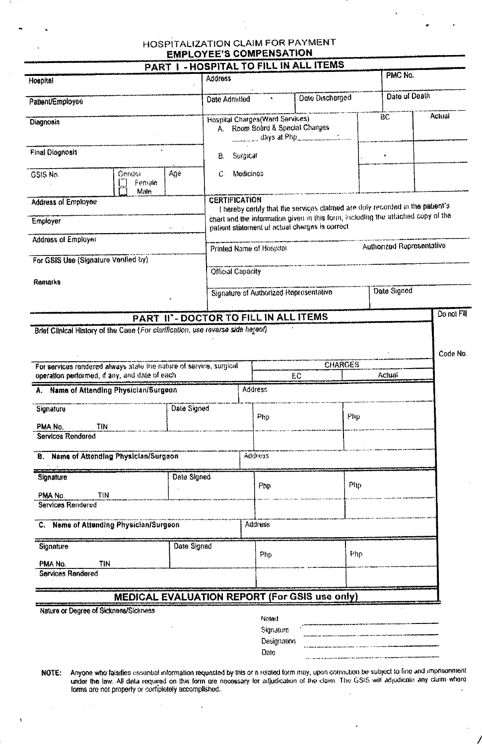## HOSPITALIZATION CLAIM FOR PAYMENT **EMPLOYEE'S COMPENSATION**

|                                                                                                                     |                |                                         |                                                                    | PART I - HOSPITAL TO FILL IN ALL ITEMS                                                                                             |     | PMC No.                   |             |
|---------------------------------------------------------------------------------------------------------------------|----------------|-----------------------------------------|--------------------------------------------------------------------|------------------------------------------------------------------------------------------------------------------------------------|-----|---------------------------|-------------|
| Hospital                                                                                                            | <b>Address</b> |                                         |                                                                    |                                                                                                                                    |     |                           |             |
| Patient/Employee                                                                                                    |                | Date Admitted                           | $\bullet$                                                          | Data Discharged                                                                                                                    |     | Date of Death             |             |
| <b>Diagnosis</b>                                                                                                    |                |                                         | Hospital Charges(Ward Services)<br>A. Room Board & Special Charges |                                                                                                                                    |     | BC                        | Actual      |
| <b>Final Diagnosis</b>                                                                                              |                | 8.                                      | Surgical                                                           |                                                                                                                                    |     | ٠                         |             |
| GSIS No.<br>Gendor<br>Femaia<br>Male                                                                                | Age            | Medicines<br>$\mathbb{C}$ .             |                                                                    |                                                                                                                                    |     |                           |             |
| <b>Address of Employee</b>                                                                                          |                | <b>CERTIFICATION</b>                    |                                                                    | I hereby certify that the services claimed are duly recorded in the patient's                                                      |     |                           |             |
| Employer                                                                                                            |                |                                         |                                                                    | chart and the information given in this form, including the attached copy of the<br>patient statement of actual charges is correct |     |                           |             |
| <b>Address of Employer</b>                                                                                          |                |                                         | Printed Name of Hospital                                           |                                                                                                                                    |     | Authorized Representative |             |
| For GSIS Use (Signature Verified by)                                                                                |                |                                         |                                                                    |                                                                                                                                    |     |                           |             |
| Remarks                                                                                                             |                | <b>Official Capacity</b><br>Date Signed |                                                                    |                                                                                                                                    |     |                           |             |
|                                                                                                                     |                |                                         | Signature of Authorized Reprosentative                             |                                                                                                                                    |     |                           |             |
|                                                                                                                     |                |                                         | PART II'- DOCTOR TO FILL IN ALL ITEMS                              |                                                                                                                                    |     |                           | Do not Fill |
| Brief Clinical History of the Case (For clarification, use reverse side hereof)                                     |                |                                         |                                                                    |                                                                                                                                    |     |                           |             |
| For services rendered always state the nature of service, surgical<br>operation performed, if any, and date of each |                |                                         |                                                                    | <b>CHARGES</b><br>EC                                                                                                               |     | Actual                    | Code No     |
| A. Name of Attending Physician/Surgeon                                                                              |                |                                         | Address:                                                           |                                                                                                                                    |     |                           |             |
| Signature                                                                                                           | Date Signed    |                                         | $\rho_{\text{hp}}$                                                 | Php                                                                                                                                |     |                           |             |
| TIN<br>PMA No.                                                                                                      |                |                                         |                                                                    |                                                                                                                                    |     |                           |             |
| <b>Services Rendered</b>                                                                                            |                |                                         |                                                                    |                                                                                                                                    |     |                           |             |
| <b>B.</b> Name of Attending Physician/Surgeon                                                                       |                |                                         | Address                                                            |                                                                                                                                    |     |                           |             |
| Signature                                                                                                           | Date Signed    |                                         | Php                                                                |                                                                                                                                    | Php |                           |             |
| <b>TIN</b><br>PMA No.<br>Services Rendered                                                                          |                |                                         |                                                                    |                                                                                                                                    |     |                           |             |
| C. Name of Attending Physician/Surgeon                                                                              |                |                                         | <b>Address</b>                                                     |                                                                                                                                    |     |                           |             |
| Signature                                                                                                           | Date Signed    |                                         | Php                                                                |                                                                                                                                    | ዞከሶ |                           |             |
| <b>TIN</b><br>PMA No.                                                                                               |                |                                         |                                                                    |                                                                                                                                    |     |                           |             |
| Services Rendered                                                                                                   |                |                                         |                                                                    |                                                                                                                                    |     |                           |             |
|                                                                                                                     |                |                                         |                                                                    | <b>MEDICAL EVALUATION REPORT (For GSIS use only)</b>                                                                               |     |                           |             |
| Nature or Degree of Sickness/Sickness                                                                               |                |                                         | Noted<br>Signature<br>Designation                                  |                                                                                                                                    |     |                           |             |
|                                                                                                                     |                |                                         | Date                                                               |                                                                                                                                    |     |                           |             |

Anyone who falsifies assential information requested by this or a related form may, upon conviction be subject to fine and imprisonment<br>under the law. All data required on this form are necessary for adjudication of the cl NOTE:

 $\ddot{\phantom{1}}$